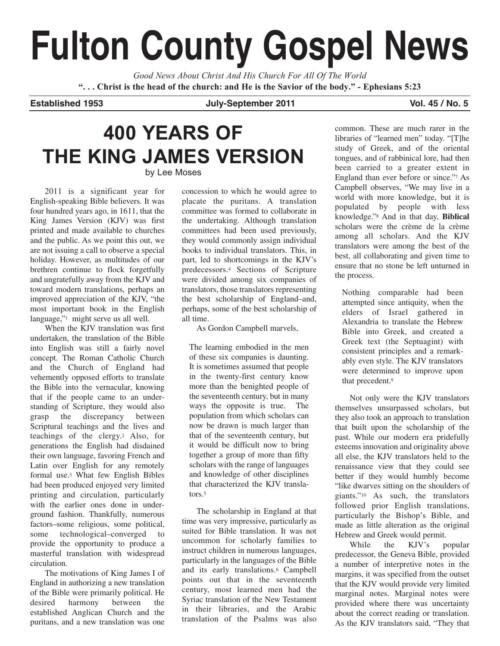# **Fulton County Gospel News**

*Good News About Christ And His Church For All Of The World* "... Christ is the head of the church: and He is the Savior of the body." - Ephesians 5:23

**Established 1953 July-September 2011 Vol. 45 / No. 5**

## **400 YEARS OF THE KING JAMES VERSION** by Lee Moses

2011 is a significant year for English-speaking Bible believers. It was four hundred years ago, in 1611, that the King James Version (KJV) was first printed and made available to churches and the public. As we point this out, we are not issuing a call to observe a special holiday. However, as multitudes of our brethren continue to flock forgetfully and ungratefully away from the KJV and toward modern translations, perhaps an improved appreciation of the KJV, "the most important book in the English language,"<sup>1</sup> might serve us all well.

When the KJV translation was first undertaken, the translation of the Bible into English was still a fairly novel concept. The Roman Catholic Church and the Church of England had vehemently opposed efforts to translate the Bible into the vernacular, knowing that if the people came to an understanding of Scripture, they would also grasp the discrepancy between Scriptural teachings and the lives and teachings of the clergy.2 Also, for generations the English had disdained their own language, favoring French and Latin over English for any remotely formal use.3 What few English Bibles had been produced enjoyed very limited printing and circulation, particularly with the earlier ones done in underground fashion. Thankfully, numerous factors–some religious, some political, some technological–converged to provide the opportunity to produce a masterful translation with widespread circulation.

The motivations of King James I of England in authorizing a new translation of the Bible were primarily political. He<br>desired harmony between the desired harmony between the established Anglican Church and the puritans, and a new translation was one

concession to which he would agree to placate the puritans. A translation committee was formed to collaborate in the undertaking. Although translation committees had been used previously, they would commonly assign individual books to individual translators. This, in part, led to shortcomings in the KJV's predecessors.4 Sections of Scripture were divided among six companies of translators, those translators representing the best scholarship of England–and, perhaps, some of the best scholarship of all time.

As Gordon Campbell marvels,

The learning embodied in the men of these six companies is daunting. It is sometimes assumed that people in the twenty-first century know more than the benighted people of the seventeenth century, but in many ways the opposite is true. The population from which scholars can now be drawn is much larger than that of the seventeenth century, but it would be difficult now to bring together a group of more than fifty scholars with the range of languages and knowledge of other disciplines that characterized the KJV translators.5

The scholarship in England at that time was very impressive, particularly as suited for Bible translation. It was not uncommon for scholarly families to instruct children in numerous languages, particularly in the languages of the Bible and its early translations.6 Campbell points out that in the seventeenth century, most learned men had the Syriac translation of the New Testament in their libraries, and the Arabic translation of the Psalms was also

common. These are much rarer in the libraries of "learned men" today. "[T]he study of Greek, and of the oriental tongues, and of rabbinical lore, had then been carried to a greater extent in England than ever before or since."7 As Campbell observes, "We may live in a world with more knowledge, but it is populated by people with less knowledge."8 And in that day, **Biblical** scholars were the crème de la crème among all scholars. And the KJV translators were among the best of the best, all collaborating and given time to ensure that no stone be left unturned in the process.

Nothing comparable had been attempted since antiquity, when the elders of Israel gathered in Alexandria to translate the Hebrew Bible into Greek, and created a Greek text (the Septuagint) with consistent principles and a remarkably even style. The KJV translators were determined to improve upon that precedent.9

Not only were the KJV translators themselves unsurpassed scholars, but they also took an approach to translation that built upon the scholarship of the past. While our modern era pridefully esteems innovation and originality above all else, the KJV translators held to the renaissance view that they could see better if they would humbly become "like dwarves sitting on the shoulders of giants."10 As such, the translators followed prior English translations, particularly the Bishop's Bible, and made as little alteration as the original Hebrew and Greek would permit.

While the KJV's popular predecessor, the Geneva Bible, provided a number of interpretive notes in the margins, it was specified from the outset that the KJV would provide very limited marginal notes. Marginal notes were provided where there was uncertainty about the correct reading or translation. As the KJV translators said, "They that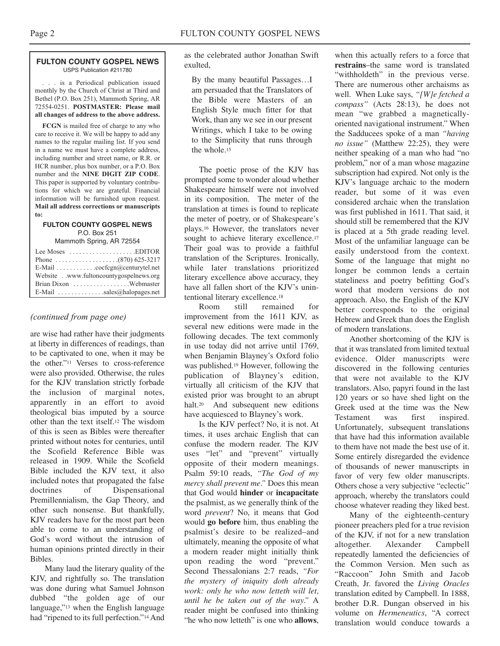#### **FULTON COUNTY GOSPEL NEWS** USPS Publication #211780

. . . is a Periodical publication issued monthly by the Church of Christ at Third and Bethel (P.O. Box 251), Mammoth Spring, AR 72554-0251. **POSTMASTER: Please mail all changes of address to the above address.**

**FCGN** is mailed free of charge to any who care to receive it. We will be happy to add any names to the regular mailing list. If you send in a name we must have a complete address, including number and street name, or R.R. or HCR number, plus box number, or a P.O. Box number and the **NINE DIGIT ZIP CODE**. This paper is supported by voluntary contributions for which we are grateful. Financial information will be furnished upon request. **Mail all address corrections or manuscripts to:**

#### **FULTON COUNTY GOSPEL NEWS** P.O. Box 251

Mammoth Spring, AR 72554

| Lee Moses $\dots \dots \dots \dots \dots$ . EDITOR |
|----------------------------------------------------|
|                                                    |
| E-Mail cocfcgn@centurytel.net                      |
| Website . www.fultoncountygospelnews.org           |
|                                                    |
| E-Mail $\ldots$ sales@halopages.net                |

### *(continued from page one)*

are wise had rather have their judgments at liberty in differences of readings, than to be captivated to one, when it may be the other."11 Verses to cross-reference were also provided. Otherwise, the rules for the KJV translation strictly forbade the inclusion of marginal notes, apparently in an effort to avoid theological bias imputed by a source other than the text itself.12 The wisdom of this is seen as Bibles were thereafter printed without notes for centuries, until the Scofield Reference Bible was released in 1909. While the Scofield Bible included the KJV text, it also included notes that propagated the false doctrines of Dispensational Premillennialism, the Gap Theory, and other such nonsense. But thankfully, KJV readers have for the most part been able to come to an understanding of God's word without the intrusion of human opinions printed directly in their Bibles.

Many laud the literary quality of the KJV, and rightfully so. The translation was done during what Samuel Johnson dubbed "the golden age of our language,"13 when the English language had "ripened to its full perfection."14 And

as the celebrated author Jonathan Swift exulted,

By the many beautiful Passages…I am persuaded that the Translators of the Bible were Masters of an English Style much fitter for that Work, than any we see in our present Writings, which I take to be owing to the Simplicity that runs through the whole.15

The poetic prose of the KJV has prompted some to wonder aloud whether Shakespeare himself were not involved in its composition. The meter of the translation at times is found to replicate the meter of poetry, or of Shakespeare's plays.16 However, the translators never sought to achieve literary excellence.<sup>17</sup> Their goal was to provide a faithful translation of the Scriptures. Ironically, while later translations prioritized literary excellence above accuracy, they have all fallen short of the KJV's unintentional literary excellence.18

Room still remained for improvement from the 1611 KJV, as several new editions were made in the following decades. The text commonly in use today did not arrive until 1769, when Benjamin Blayney's Oxford folio was published.19 However, following the publication of Blayney's edition, virtually all criticism of the KJV that existed prior was brought to an abrupt halt.20 And subsequent new editions have acquiesced to Blayney's work.

Is the KJV perfect? No, it is not. At times, it uses archaic English that can confuse the modern reader. The KJV uses "let" and "prevent" virtually opposite of their modern meanings. Psalm 59:10 reads, *"The God of my mercy shall prevent me."* Does this mean that God would **hinder** or **incapacitate** the psalmist, as we generally think of the word *prevent*? No, it means that God would **go before** him, thus enabling the psalmist's desire to be realized–and ultimately, meaning the opposite of what a modern reader might initially think upon reading the word "prevent." Second Thessalonians 2:7 reads, *"For the mystery of iniquity doth already work: only he who now letteth will let, until he be taken out of the way."* A reader might be confused into thinking "he who now letteth" is one who **allows**,

when this actually refers to a force that **restrains**–the same word is translated "withholdeth" in the previous verse. There are numerous other archaisms as well. When Luke says, *"[W]e fetched a compass"* (Acts 28:13), he does not mean "we grabbed a magneticallyoriented navigational instrument." When the Sadducees spoke of a man *"having no issue"* (Matthew 22:25), they were neither speaking of a man who had "no problem," nor of a man whose magazine subscription had expired. Not only is the KJV's language archaic to the modern reader, but some of it was even considered archaic when the translation was first published in 1611. That said, it should still be remembered that the KJV is placed at a 5th grade reading level. Most of the unfamiliar language can be easily understood from the context. Some of the language that might no longer be common lends a certain stateliness and poetry befitting God's word that modern versions do not approach. Also, the English of the KJV better corresponds to the original Hebrew and Greek than does the English of modern translations.

Another shortcoming of the KJV is that it was translated from limited textual evidence. Older manuscripts were discovered in the following centuries that were not available to the KJV translators. Also, papyri found in the last 120 years or so have shed light on the Greek used at the time was the New Testament was first inspired. Unfortunately, subsequent translations that have had this information available to them have not made the best use of it. Some entirely disregarded the evidence of thousands of newer manuscripts in favor of very few older manuscripts. Others chose a very subjective "eclectic" approach, whereby the translators could choose whatever reading they liked best.

Many of the eighteenth-century pioneer preachers pled for a true revision of the KJV, if not for a new translation altogether. Alexander Campbell repeatedly lamented the deficiencies of the Common Version. Men such as "Raccoon" John Smith and Jacob Creath, Jr. favored the *Living Oracles* translation edited by Campbell. In 1888, brother D.R. Dungan observed in his volume on *Hermeneutics*, "A correct translation would conduce towards a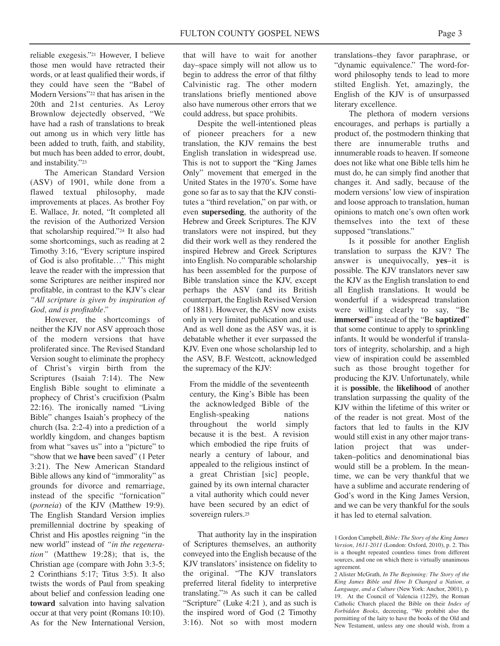reliable exegesis."21 However, I believe those men would have retracted their words, or at least qualified their words, if they could have seen the "Babel of Modern Versions"22 that has arisen in the 20th and 21st centuries. As Leroy Brownlow dejectedly observed, "We have had a rash of translations to break out among us in which very little has been added to truth, faith, and stability, but much has been added to error, doubt, and instability."23

The American Standard Version (ASV) of 1901, while done from a flawed textual philosophy, made improvements at places. As brother Foy E. Wallace, Jr. noted, "It completed all the revision of the Authorized Version that scholarship required."24 It also had some shortcomings, such as reading at 2 Timothy 3:16, "Every scripture inspired of God is also profitable…" This might leave the reader with the impression that some Scriptures are neither inspired nor profitable, in contrast to the KJV's clear *"All scripture is given by inspiration of God, and is profitable."*

However, the shortcomings of neither the KJV nor ASV approach those of the modern versions that have proliferated since. The Revised Standard Version sought to eliminate the prophecy of Christ's virgin birth from the Scriptures (Isaiah 7:14). The New English Bible sought to eliminate a prophecy of Christ's crucifixion (Psalm 22:16). The ironically named "Living Bible" changes Isaiah's prophecy of the church (Isa. 2:2-4) into a prediction of a worldly kingdom, and changes baptism from what "saves us" into a "picture" to "show that we **have** been saved" (1 Peter 3:21). The New American Standard Bible allows any kind of "immorality" as grounds for divorce and remarriage, instead of the specific "fornication" (*porneia*) of the KJV (Matthew 19:9). The English Standard Version implies premillennial doctrine by speaking of Christ and His apostles reigning "in the new world" instead of *"in the regeneration"* (Matthew 19:28); that is, the Christian age (compare with John 3:3-5; 2 Corinthians 5:17; Titus 3:5). It also twists the words of Paul from speaking about belief and confession leading one **toward** salvation into having salvation occur at that very point (Romans 10:10). As for the New International Version,

that will have to wait for another day–space simply will not allow us to begin to address the error of that filthy Calvinistic rag. The other modern translations briefly mentioned above also have numerous other errors that we could address, but space prohibits.

Despite the well-intentioned pleas of pioneer preachers for a new translation, the KJV remains the best English translation in widespread use. This is not to support the "King James Only" movement that emerged in the United States in the 1970's. Some have gone so far as to say that the KJV constitutes a "third revelation," on par with, or even **superseding**, the authority of the Hebrew and Greek Scriptures. The KJV translators were not inspired, but they did their work well as they rendered the inspired Hebrew and Greek Scriptures into English. No comparable scholarship has been assembled for the purpose of Bible translation since the KJV, except perhaps the ASV (and its British counterpart, the English Revised Version of 1881). However, the ASV now exists only in very limited publication and use. And as well done as the ASV was, it is debatable whether it ever surpassed the KJV. Even one whose scholarship led to the ASV, B.F. Westcott, acknowledged the supremacy of the KJV:

From the middle of the seventeenth century, the King's Bible has been the acknowledged Bible of the English-speaking nations throughout the world simply because it is the best. A revision which embodied the ripe fruits of nearly a century of labour, and appealed to the religious instinct of a great Christian [sic] people, gained by its own internal character a vital authority which could never have been secured by an edict of sovereign rulers.25

That authority lay in the inspiration of Scriptures themselves, an authority conveyed into the English because of the KJV translators' insistence on fidelity to the original. "The KJV translators preferred literal fidelity to interpretive translating."26 As such it can be called "Scripture" (Luke 4:21 ), and as such is the inspired word of God (2 Timothy 3:16). Not so with most modern

translations–they favor paraphrase, or "dynamic equivalence." The word-forword philosophy tends to lead to more stilted English. Yet, amazingly, the English of the KJV is of unsurpassed literary excellence.

The plethora of modern versions encourages, and perhaps is partially a product of, the postmodern thinking that there are innumerable truths and innumerable roads to heaven. If someone does not like what one Bible tells him he must do, he can simply find another that changes it. And sadly, because of the modern versions'low view of inspiration and loose approach to translation, human opinions to match one's own often work themselves into the text of these supposed "translations."

Is it possible for another English translation to surpass the KJV? The answer is unequivocally, **yes**–it is possible. The KJV translators never saw the KJV as the English translation to end all English translations. It would be wonderful if a widespread translation were willing clearly to say, "Be **immersed**" instead of the "Be **baptized**" that some continue to apply to sprinkling infants. It would be wonderful if translators of integrity, scholarship, and a high view of inspiration could be assembled such as those brought together for producing the KJV. Unfortunately, while it is **possible**, the **likelihood** of another translation surpassing the quality of the KJV within the lifetime of this writer or of the reader is not great. Most of the factors that led to faults in the KJV would still exist in any other major translation project that was undertaken–politics and denominational bias would still be a problem. In the meantime, we can be very thankful that we have a sublime and accurate rendering of God's word in the King James Version, and we can be very thankful for the souls it has led to eternal salvation.

<sup>1</sup> Gordon Campbell, *Bible: The Story of the King James Version, 1611-2011* (London: Oxford, 2010), p. 2. This is a thought repeated countless times from different sources, and one on which there is virtually unanimous agreement.

<sup>2</sup> Alister McGrath, *In The Beginning: The Story of the King James Bible and How It Changed a Nation, a Language, and a Culture* (New York: Anchor, 2001), p. 19. At the Council of Valencia (1229), the Roman Catholic Church placed the Bible on their *Index of Forbidden Books*, decreeing, "We prohibit also the permitting of the laity to have the books of the Old and New Testament, unless any one should wish, from a